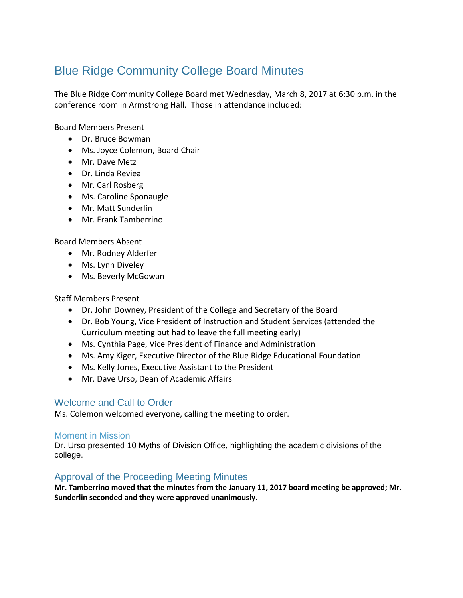# Blue Ridge Community College Board Minutes

The Blue Ridge Community College Board met Wednesday, March 8, 2017 at 6:30 p.m. in the conference room in Armstrong Hall. Those in attendance included:

Board Members Present

- Dr. Bruce Bowman
- Ms. Joyce Colemon, Board Chair
- Mr. Dave Metz
- Dr. Linda Reviea
- Mr. Carl Rosberg
- Ms. Caroline Sponaugle
- Mr. Matt Sunderlin
- Mr. Frank Tamberrino

Board Members Absent

- Mr. Rodney Alderfer
- Ms. Lynn Diveley
- Ms. Beverly McGowan

#### Staff Members Present

- Dr. John Downey, President of the College and Secretary of the Board
- Dr. Bob Young, Vice President of Instruction and Student Services (attended the Curriculum meeting but had to leave the full meeting early)
- Ms. Cynthia Page, Vice President of Finance and Administration
- Ms. Amy Kiger, Executive Director of the Blue Ridge Educational Foundation
- Ms. Kelly Jones, Executive Assistant to the President
- Mr. Dave Urso, Dean of Academic Affairs

## Welcome and Call to Order

Ms. Colemon welcomed everyone, calling the meeting to order.

#### Moment in Mission

Dr. Urso presented 10 Myths of Division Office, highlighting the academic divisions of the college.

### Approval of the Proceeding Meeting Minutes

**Mr. Tamberrino moved that the minutes from the January 11, 2017 board meeting be approved; Mr. Sunderlin seconded and they were approved unanimously.**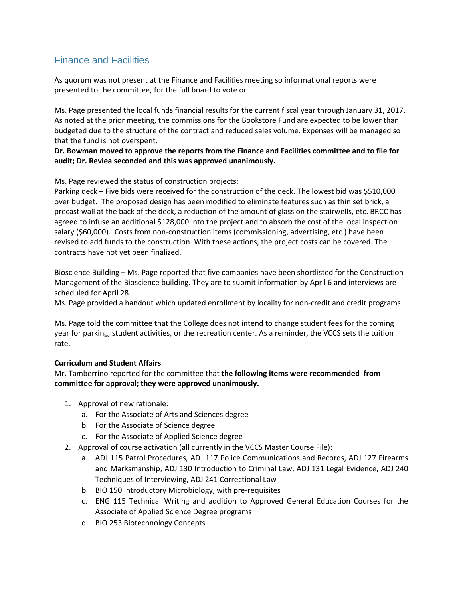# Finance and Facilities

As quorum was not present at the Finance and Facilities meeting so informational reports were presented to the committee, for the full board to vote on.

Ms. Page presented the local funds financial results for the current fiscal year through January 31, 2017. As noted at the prior meeting, the commissions for the Bookstore Fund are expected to be lower than budgeted due to the structure of the contract and reduced sales volume. Expenses will be managed so that the fund is not overspent.

#### **Dr. Bowman moved to approve the reports from the Finance and Facilities committee and to file for audit; Dr. Reviea seconded and this was approved unanimously.**

Ms. Page reviewed the status of construction projects:

Parking deck – Five bids were received for the construction of the deck. The lowest bid was \$510,000 over budget. The proposed design has been modified to eliminate features such as thin set brick, a precast wall at the back of the deck, a reduction of the amount of glass on the stairwells, etc. BRCC has agreed to infuse an additional \$128,000 into the project and to absorb the cost of the local inspection salary (\$60,000). Costs from non-construction items (commissioning, advertising, etc.) have been revised to add funds to the construction. With these actions, the project costs can be covered. The contracts have not yet been finalized.

Bioscience Building – Ms. Page reported that five companies have been shortlisted for the Construction Management of the Bioscience building. They are to submit information by April 6 and interviews are scheduled for April 28.

Ms. Page provided a handout which updated enrollment by locality for non-credit and credit programs

Ms. Page told the committee that the College does not intend to change student fees for the coming year for parking, student activities, or the recreation center. As a reminder, the VCCS sets the tuition rate.

#### **Curriculum and Student Affairs**

Mr. Tamberrino reported for the committee that **the following items were recommended from committee for approval; they were approved unanimously.**

- 1. Approval of new rationale:
	- a. For the Associate of Arts and Sciences degree
	- b. For the Associate of Science degree
	- c. For the Associate of Applied Science degree
- 2. Approval of course activation (all currently in the VCCS Master Course File):
	- a. ADJ 115 Patrol Procedures, ADJ 117 Police Communications and Records, ADJ 127 Firearms and Marksmanship, ADJ 130 Introduction to Criminal Law, ADJ 131 Legal Evidence, ADJ 240 Techniques of Interviewing, ADJ 241 Correctional Law
	- b. BIO 150 Introductory Microbiology, with pre-requisites
	- c. ENG 115 Technical Writing and addition to Approved General Education Courses for the Associate of Applied Science Degree programs
	- d. BIO 253 Biotechnology Concepts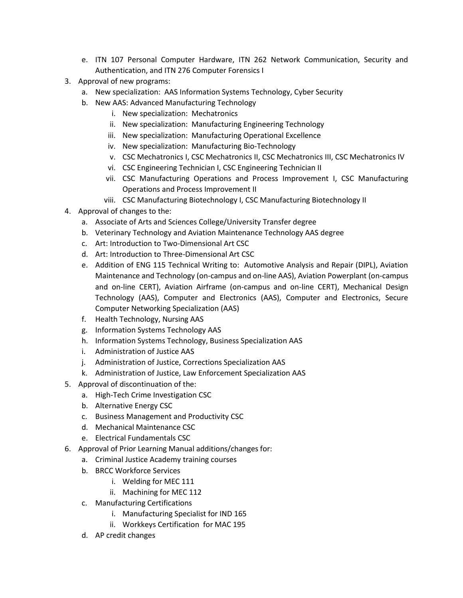- e. ITN 107 Personal Computer Hardware, ITN 262 Network Communication, Security and Authentication, and ITN 276 Computer Forensics I
- 3. Approval of new programs:
	- a. New specialization: AAS Information Systems Technology, Cyber Security
	- b. New AAS: Advanced Manufacturing Technology
		- i. New specialization: Mechatronics
		- ii. New specialization: Manufacturing Engineering Technology
		- iii. New specialization: Manufacturing Operational Excellence
		- iv. New specialization: Manufacturing Bio-Technology
		- v. CSC Mechatronics I, CSC Mechatronics II, CSC Mechatronics III, CSC Mechatronics IV
		- vi. CSC Engineering Technician I, CSC Engineering Technician II
		- vii. CSC Manufacturing Operations and Process Improvement I, CSC Manufacturing Operations and Process Improvement II
		- viii. CSC Manufacturing Biotechnology I, CSC Manufacturing Biotechnology II
- 4. Approval of changes to the:
	- a. Associate of Arts and Sciences College/University Transfer degree
	- b. Veterinary Technology and Aviation Maintenance Technology AAS degree
	- c. Art: Introduction to Two-Dimensional Art CSC
	- d. Art: Introduction to Three-Dimensional Art CSC
	- e. Addition of ENG 115 Technical Writing to: Automotive Analysis and Repair (DIPL), Aviation Maintenance and Technology (on-campus and on-line AAS), Aviation Powerplant (on-campus and on-line CERT), Aviation Airframe (on-campus and on-line CERT), Mechanical Design Technology (AAS), Computer and Electronics (AAS), Computer and Electronics, Secure Computer Networking Specialization (AAS)
	- f. Health Technology, Nursing AAS
	- g. Information Systems Technology AAS
	- h. Information Systems Technology, Business Specialization AAS
	- i. Administration of Justice AAS
	- j. Administration of Justice, Corrections Specialization AAS
	- k. Administration of Justice, Law Enforcement Specialization AAS
- 5. Approval of discontinuation of the:
	- a. High-Tech Crime Investigation CSC
	- b. Alternative Energy CSC
	- c. Business Management and Productivity CSC
	- d. Mechanical Maintenance CSC
	- e. Electrical Fundamentals CSC
- 6. Approval of Prior Learning Manual additions/changes for:
	- a. Criminal Justice Academy training courses
		- b. BRCC Workforce Services
			- i. Welding for MEC 111
			- ii. Machining for MEC 112
		- c. Manufacturing Certifications
			- i. Manufacturing Specialist for IND 165
			- ii. Workkeys Certification for MAC 195
		- d. AP credit changes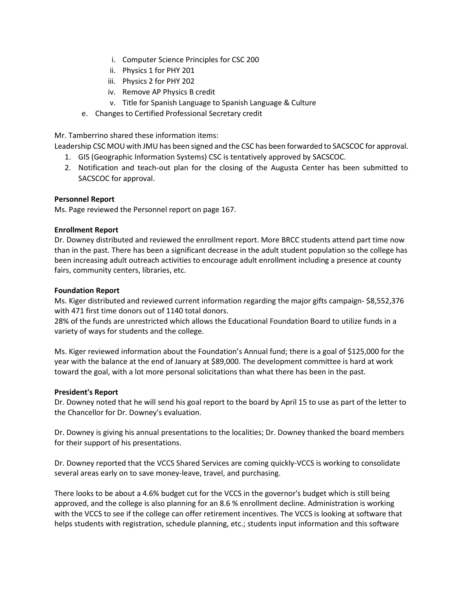- i. Computer Science Principles for CSC 200
- ii. Physics 1 for PHY 201
- iii. Physics 2 for PHY 202
- iv. Remove AP Physics B credit
- v. Title for Spanish Language to Spanish Language & Culture
- e. Changes to Certified Professional Secretary credit

Mr. Tamberrino shared these information items:

Leadership CSC MOU with JMU has been signed and the CSC has been forwarded to SACSCOC for approval.

- 1. GIS (Geographic Information Systems) CSC is tentatively approved by SACSCOC.
- 2. Notification and teach-out plan for the closing of the Augusta Center has been submitted to SACSCOC for approval.

#### **Personnel Report**

Ms. Page reviewed the Personnel report on page 167.

#### **Enrollment Report**

Dr. Downey distributed and reviewed the enrollment report. More BRCC students attend part time now than in the past. There has been a significant decrease in the adult student population so the college has been increasing adult outreach activities to encourage adult enrollment including a presence at county fairs, community centers, libraries, etc.

#### **Foundation Report**

Ms. Kiger distributed and reviewed current information regarding the major gifts campaign- \$8,552,376 with 471 first time donors out of 1140 total donors.

28% of the funds are unrestricted which allows the Educational Foundation Board to utilize funds in a variety of ways for students and the college.

Ms. Kiger reviewed information about the Foundation's Annual fund; there is a goal of \$125,000 for the year with the balance at the end of January at \$89,000. The development committee is hard at work toward the goal, with a lot more personal solicitations than what there has been in the past.

#### **President's Report**

Dr. Downey noted that he will send his goal report to the board by April 15 to use as part of the letter to the Chancellor for Dr. Downey's evaluation.

Dr. Downey is giving his annual presentations to the localities; Dr. Downey thanked the board members for their support of his presentations.

Dr. Downey reported that the VCCS Shared Services are coming quickly-VCCS is working to consolidate several areas early on to save money-leave, travel, and purchasing.

There looks to be about a 4.6% budget cut for the VCCS in the governor's budget which is still being approved, and the college is also planning for an 8.6 % enrollment decline. Administration is working with the VCCS to see if the college can offer retirement incentives. The VCCS is looking at software that helps students with registration, schedule planning, etc.; students input information and this software